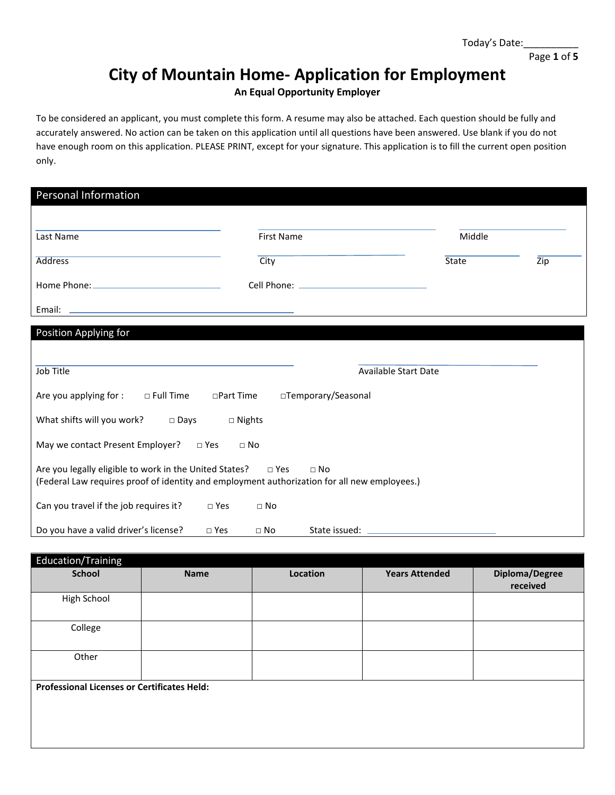#### Page **1** of **5**

# **City of Mountain Home- Application for Employment**

**An Equal Opportunity Employer**

To be considered an applicant, you must complete this form. A resume may also be attached. Each question should be fully and accurately answered. No action can be taken on this application until all questions have been answered. Use blank if you do not have enough room on this application. PLEASE PRINT, except for your signature. This application is to fill the current open position only.

| Personal Information                                                                         |                   |                             |              |     |
|----------------------------------------------------------------------------------------------|-------------------|-----------------------------|--------------|-----|
|                                                                                              |                   |                             |              |     |
| Last Name                                                                                    | <b>First Name</b> |                             | Middle       |     |
| <b>Address</b>                                                                               | City              |                             | <b>State</b> | Zip |
|                                                                                              |                   |                             |              |     |
|                                                                                              |                   |                             |              |     |
| Position Applying for                                                                        |                   |                             |              |     |
|                                                                                              |                   |                             |              |     |
|                                                                                              |                   |                             |              |     |
| Job Title                                                                                    |                   | <b>Available Start Date</b> |              |     |
| $\Box$ Full Time<br>□Part Time<br>Are you applying for :                                     |                   | □Temporary/Seasonal         |              |     |
| What shifts will you work?<br>$\square$ Days                                                 | $\Box$ Nights     |                             |              |     |
| May we contact Present Employer? □ Yes                                                       | $\Box$ No         |                             |              |     |
| Are you legally eligible to work in the United States? $\Box$ Yes                            |                   | $\Box$ No                   |              |     |
| (Federal Law requires proof of identity and employment authorization for all new employees.) |                   |                             |              |     |
| Can you travel if the job requires it?<br>$\square$ Yes                                      | $\Box$ No         |                             |              |     |
| Do you have a valid driver's license?<br>$\square$ Yes                                       | $\Box$ No         | State issued: _             |              |     |

| <b>Name</b>                                        | Location | <b>Years Attended</b> | Diploma/Degree<br>received |
|----------------------------------------------------|----------|-----------------------|----------------------------|
|                                                    |          |                       |                            |
|                                                    |          |                       |                            |
|                                                    |          |                       |                            |
| <b>Professional Licenses or Certificates Held:</b> |          |                       |                            |
|                                                    |          |                       |                            |
|                                                    |          |                       |                            |
|                                                    |          |                       |                            |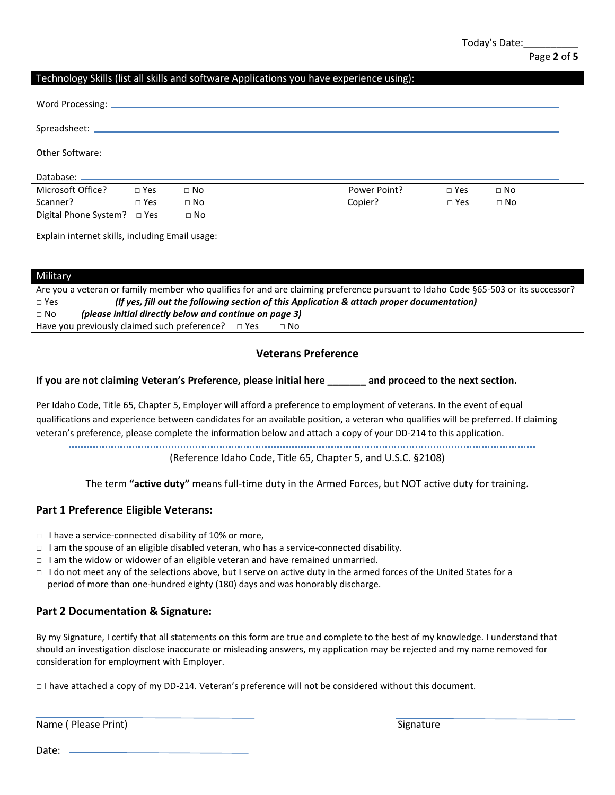# Page **2** of **5**

| Technology Skills (list all skills and software Applications you have experience using):                       |  |           |  |              |            |           |  |
|----------------------------------------------------------------------------------------------------------------|--|-----------|--|--------------|------------|-----------|--|
|                                                                                                                |  |           |  |              |            |           |  |
|                                                                                                                |  |           |  |              |            |           |  |
| Other Software: The Contract of the Contract of the Contract of the Contract of the Contract of the Contract o |  |           |  |              |            |           |  |
|                                                                                                                |  |           |  |              |            |           |  |
| Microsoft Office? □ Yes                                                                                        |  | $\Box$ No |  | Power Point? | $\Box$ Yes | $\Box$ No |  |
| $\square$ Yes<br>Scanner?                                                                                      |  | $\Box$ No |  | Copier?      | $\Box$ Yes | $\Box$ No |  |
| Digital Phone System? □ Yes                                                                                    |  | $\Box$ No |  |              |            |           |  |
| Explain internet skills, including Email usage:                                                                |  |           |  |              |            |           |  |
|                                                                                                                |  |           |  |              |            |           |  |
| $A = 1114$                                                                                                     |  |           |  |              |            |           |  |

| <b>TVIIIItal</b> y                                                                                                                |  |  |  |  |  |
|-----------------------------------------------------------------------------------------------------------------------------------|--|--|--|--|--|
| Are you a veteran or family member who qualifies for and are claiming preference pursuant to Idaho Code §65-503 or its successor? |  |  |  |  |  |
| (If yes, fill out the following section of this Application & attach proper documentation)<br>$\Box$ Yes                          |  |  |  |  |  |
| (please initial directly below and continue on page 3)<br>$\Box$ No                                                               |  |  |  |  |  |
| Have you previously claimed such preference? $\Box$ Yes<br>$\neg$ No                                                              |  |  |  |  |  |

# **Veterans Preference**

### **If you are not claiming Veteran's Preference, please initial here \_\_\_\_\_\_\_ and proceed to the next section.**

Per Idaho Code, Title 65, Chapter 5, Employer will afford a preference to employment of veterans. In the event of equal qualifications and experience between candidates for an available position, a veteran who qualifies will be preferred. If claiming veteran's preference, please complete the information below and attach a copy of your DD-214 to this application.

(Reference Idaho Code, Title 65, Chapter 5, and U.S.C. §2108)

The term **"active duty"** means full-time duty in the Armed Forces, but NOT active duty for training.

# **Part 1 Preference Eligible Veterans:**

- □ I have a service-connected disability of 10% or more,
- $\Box$  I am the spouse of an eligible disabled veteran, who has a service-connected disability.
- □ I am the widow or widower of an eligible veteran and have remained unmarried.
- □ I do not meet any of the selections above, but I serve on active duty in the armed forces of the United States for a period of more than one-hundred eighty (180) days and was honorably discharge.

# **Part 2 Documentation & Signature:**

By my Signature, I certify that all statements on this form are true and complete to the best of my knowledge. I understand that should an investigation disclose inaccurate or misleading answers, my application may be rejected and my name removed for consideration for employment with Employer.

□ I have attached a copy of my DD-214. Veteran's preference will not be considered without this document.

Name ( Please Print) Signature Science And The Stephen Signature Signature Signature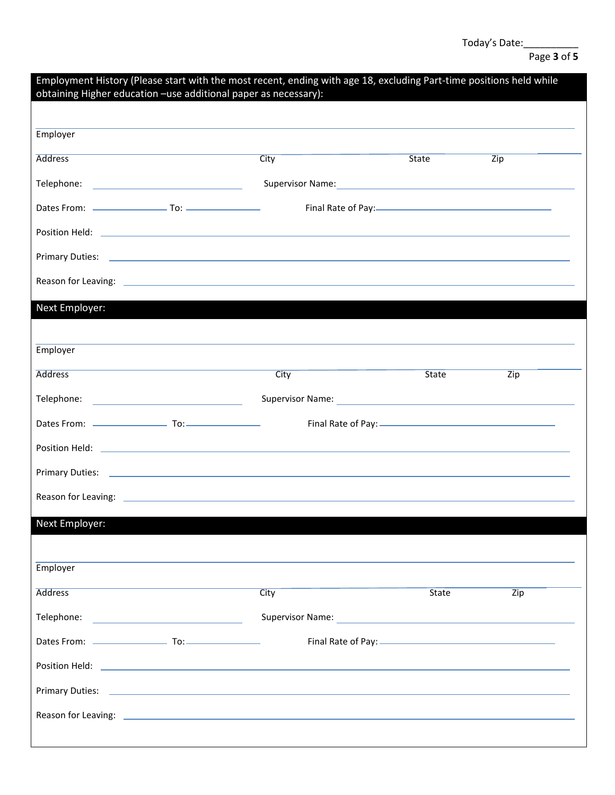# Page **3** of **5**

| obtaining Higher education -use additional paper as necessary): | Employment History (Please start with the most recent, ending with age 18, excluding Part-time positions held while                                                                                                            |              |                  |
|-----------------------------------------------------------------|--------------------------------------------------------------------------------------------------------------------------------------------------------------------------------------------------------------------------------|--------------|------------------|
| Employer                                                        |                                                                                                                                                                                                                                |              |                  |
|                                                                 |                                                                                                                                                                                                                                |              |                  |
| <b>Address</b>                                                  | City                                                                                                                                                                                                                           | <b>State</b> | Zip              |
|                                                                 | Supervisor Name: 1999 - 1999 - 1999 - 1999 - 1999 - 1999 - 1999 - 1999 - 1999 - 1999 - 1999 - 1999 - 1999 - 1                                                                                                                  |              |                  |
|                                                                 |                                                                                                                                                                                                                                |              |                  |
|                                                                 |                                                                                                                                                                                                                                |              |                  |
|                                                                 |                                                                                                                                                                                                                                |              |                  |
|                                                                 | Reason for Leaving: 2008 and 2008 and 2008 and 2008 and 2008 and 2008 and 2008 and 2008 and 2008 and 2008 and                                                                                                                  |              |                  |
| Next Employer:                                                  |                                                                                                                                                                                                                                |              |                  |
|                                                                 |                                                                                                                                                                                                                                |              |                  |
| Employer                                                        |                                                                                                                                                                                                                                |              |                  |
| <b>Address</b>                                                  | City                                                                                                                                                                                                                           | State        | Zip              |
| Telephone: ___________________________________                  |                                                                                                                                                                                                                                |              |                  |
|                                                                 |                                                                                                                                                                                                                                |              |                  |
|                                                                 |                                                                                                                                                                                                                                |              |                  |
|                                                                 |                                                                                                                                                                                                                                |              |                  |
|                                                                 |                                                                                                                                                                                                                                |              |                  |
| Next Employer:                                                  |                                                                                                                                                                                                                                |              |                  |
|                                                                 |                                                                                                                                                                                                                                |              |                  |
| Employer                                                        |                                                                                                                                                                                                                                |              |                  |
| <b>Address</b>                                                  | City                                                                                                                                                                                                                           | <b>State</b> | $\overline{Zip}$ |
|                                                                 |                                                                                                                                                                                                                                |              |                  |
|                                                                 |                                                                                                                                                                                                                                |              |                  |
|                                                                 |                                                                                                                                                                                                                                |              |                  |
|                                                                 |                                                                                                                                                                                                                                |              |                  |
|                                                                 | Reason for Leaving: 2008 and 2008 and 2008 and 2008 and 2008 and 2008 and 2008 and 2008 and 2008 and 2008 and 2008 and 2008 and 2008 and 2008 and 2008 and 2008 and 2008 and 2008 and 2008 and 2008 and 2008 and 2008 and 2008 |              |                  |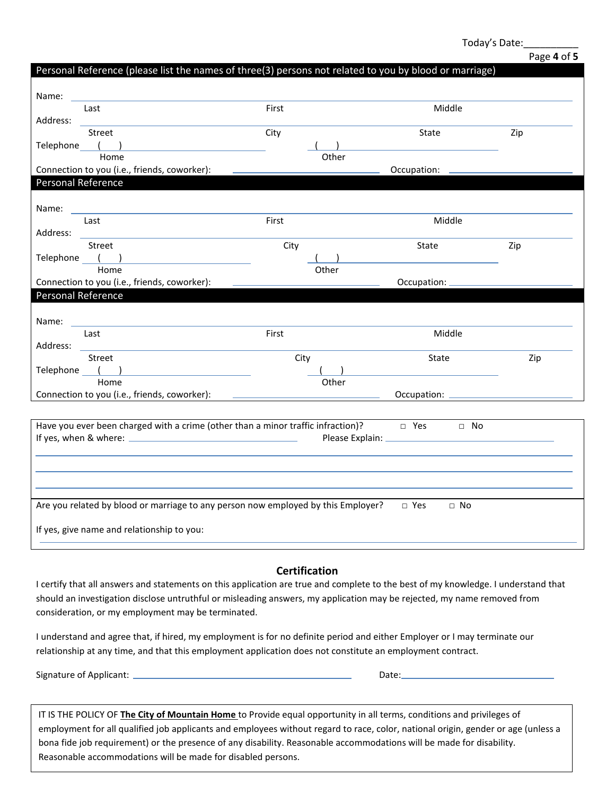### Page **4** of **5**

|                | Personal Reference (please list the names of three(3) persons not related to you by blood or marriage) |                                   |                            |     |  |
|----------------|--------------------------------------------------------------------------------------------------------|-----------------------------------|----------------------------|-----|--|
| Name:          |                                                                                                        |                                   |                            |     |  |
|                | Last                                                                                                   | First                             | Middle                     |     |  |
| Address:       |                                                                                                        |                                   |                            |     |  |
| Telephone ( )  | <b>Street</b>                                                                                          | City                              | State                      | Zip |  |
|                | Home                                                                                                   | Other                             |                            |     |  |
|                | Connection to you (i.e., friends, coworker):                                                           |                                   | Occupation:                |     |  |
|                | Personal Reference                                                                                     |                                   |                            |     |  |
|                |                                                                                                        |                                   |                            |     |  |
| Name:          | Last                                                                                                   | First                             | Middle                     |     |  |
| Address:       |                                                                                                        |                                   |                            |     |  |
|                | <b>Street</b>                                                                                          | City                              | State                      | Zip |  |
|                | Telephone ()<br>Home                                                                                   | Other                             |                            |     |  |
|                | Connection to you (i.e., friends, coworker):                                                           |                                   | Occupation: _              |     |  |
|                | Personal Reference                                                                                     |                                   |                            |     |  |
|                |                                                                                                        |                                   |                            |     |  |
| Name: ________ |                                                                                                        |                                   |                            |     |  |
| Address:       | Last                                                                                                   | First                             | Middle                     |     |  |
|                | Street                                                                                                 | City                              | State                      | Zip |  |
| Telephone (    |                                                                                                        |                                   |                            |     |  |
|                | Home                                                                                                   | Other                             |                            |     |  |
|                | Connection to you (i.e., friends, coworker):                                                           | <b>Contract Contract Contract</b> | Occupation: _              |     |  |
|                |                                                                                                        |                                   |                            |     |  |
|                | Have you ever been charged with a crime (other than a minor traffic infraction)? □ Yes □ No            |                                   |                            |     |  |
|                |                                                                                                        |                                   |                            |     |  |
|                |                                                                                                        |                                   |                            |     |  |
|                |                                                                                                        |                                   |                            |     |  |
|                |                                                                                                        |                                   |                            |     |  |
|                | Are you related by blood or marriage to any person now employed by this Employer?                      |                                   | $\square$ Yes<br>$\Box$ No |     |  |
|                | If yes, give name and relationship to you:                                                             |                                   |                            |     |  |
|                |                                                                                                        |                                   |                            |     |  |
|                |                                                                                                        |                                   |                            |     |  |

### **Certification**

I certify that all answers and statements on this application are true and complete to the best of my knowledge. I understand that should an investigation disclose untruthful or misleading answers, my application may be rejected, my name removed from consideration, or my employment may be terminated.

I understand and agree that, if hired, my employment is for no definite period and either Employer or I may terminate our relationship at any time, and that this employment application does not constitute an employment contract.

Signature of Applicant: Date:

IT IS THE POLICY OF **The City of Mountain Home** to Provide equal opportunity in all terms, conditions and privileges of employment for all qualified job applicants and employees without regard to race, color, national origin, gender or age (unless a bona fide job requirement) or the presence of any disability. Reasonable accommodations will be made for disability. Reasonable accommodations will be made for disabled persons.